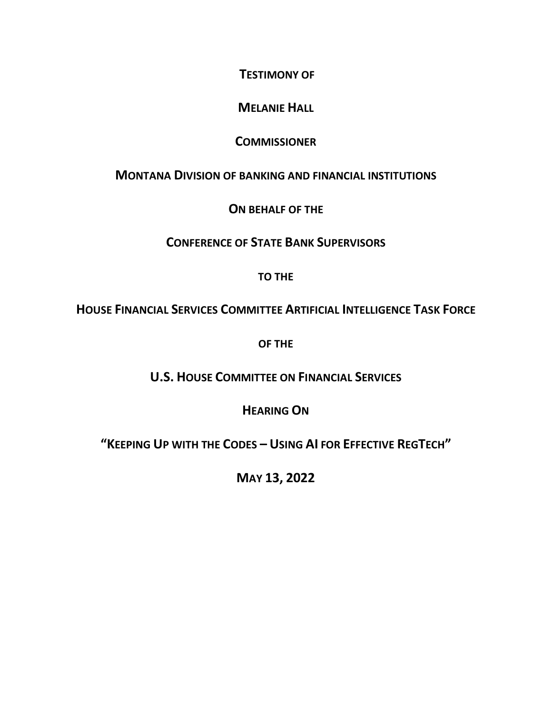**TESTIMONY OF**

## **MELANIE HALL**

## **COMMISSIONER**

## **MONTANA DIVISION OF BANKING AND FINANCIAL INSTITUTIONS**

## **ON BEHALF OF THE**

## **CONFERENCE OF STATE BANK SUPERVISORS**

## **TO THE**

## **HOUSE FINANCIAL SERVICES COMMITTEE ARTIFICIAL INTELLIGENCE TASK FORCE**

**OF THE** 

# **U.S. HOUSE COMMITTEE ON FINANCIAL SERVICES**

## **HEARING ON**

# **"KEEPING UP WITH THE CODES – USING AI FOR EFFECTIVE REGTECH"**

**MAY 13, 2022**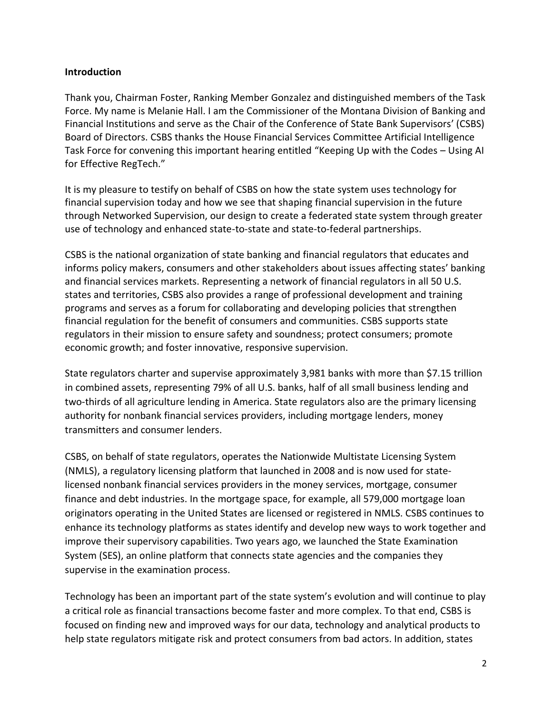### **Introduction**

Thank you, Chairman Foster, Ranking Member Gonzalez and distinguished members of the Task Force. My name is Melanie Hall. I am the Commissioner of the Montana Division of Banking and Financial Institutions and serve as the Chair of the Conference of State Bank Supervisors' (CSBS) Board of Directors. CSBS thanks the House Financial Services Committee Artificial Intelligence Task Force for convening this important hearing entitled "Keeping Up with the Codes – Using AI for Effective RegTech."

It is my pleasure to testify on behalf of CSBS on how the state system uses technology for financial supervision today and how we see that shaping financial supervision in the future through Networked Supervision, our design to create a federated state system through greater use of technology and enhanced state-to-state and state-to-federal partnerships.

CSBS is the national organization of state banking and financial regulators that educates and informs policy makers, consumers and other stakeholders about issues affecting states' banking and financial services markets. Representing a network of financial regulators in all 50 U.S. states and territories, CSBS also provides a range of professional development and training programs and serves as a forum for collaborating and developing policies that strengthen financial regulation for the benefit of consumers and communities. CSBS supports state regulators in their mission to ensure safety and soundness; protect consumers; promote economic growth; and foster innovative, responsive supervision.

State regulators charter and supervise approximately 3,981 banks with more than \$7.15 trillion in combined assets, representing 79% of all U.S. banks, half of all small business lending and two-thirds of all agriculture lending in America. State regulators also are the primary licensing authority for nonbank financial services providers, including mortgage lenders, money transmitters and consumer lenders.

CSBS, on behalf of state regulators, operates the Nationwide Multistate Licensing System (NMLS), a regulatory licensing platform that launched in 2008 and is now used for statelicensed nonbank financial services providers in the money services, mortgage, consumer finance and debt industries. In the mortgage space, for example, all 579,000 mortgage loan originators operating in the United States are licensed or registered in NMLS. CSBS continues to enhance its technology platforms as states identify and develop new ways to work together and improve their supervisory capabilities. Two years ago, we launched the State Examination System (SES), an online platform that connects state agencies and the companies they supervise in the examination process.

Technology has been an important part of the state system's evolution and will continue to play a critical role as financial transactions become faster and more complex. To that end, CSBS is focused on finding new and improved ways for our data, technology and analytical products to help state regulators mitigate risk and protect consumers from bad actors. In addition, states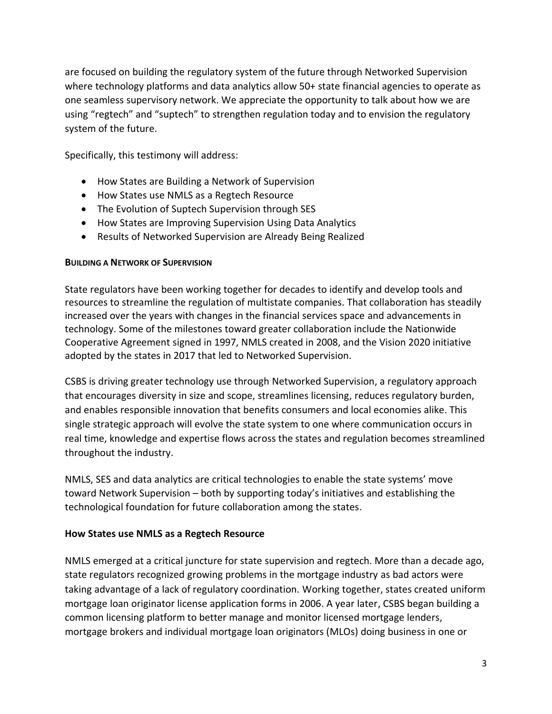are focused on building the regulatory system of the future through Networked Supervision where technology platforms and data analytics allow 50+ state financial agencies to operate as one seamless supervisory network. We appreciate the opportunity to talk about how we are using "regtech" and "suptech" to strengthen regulation today and to envision the regulatory system of the future.

Specifically, this testimony will address:

- How States are Building a Network of Supervision
- How States use NMLS as a Regtech Resource
- The Evolution of Suptech Supervision through SES
- How States are Improving Supervision Using Data Analytics
- Results of Networked Supervision are Already Being Realized

### **BUILDING A NETWORK OF SUPERVISION**

State regulators have been working together for decades to identify and develop tools and resources to streamline the regulation of multistate companies. That collaboration has steadily increased over the years with changes in the financial services space and advancements in technology. Some of the milestones toward greater collaboration include the Nationwide Cooperative Agreement signed in 1997, NMLS created in 2008, and the Vision 2020 initiative adopted by the states in 2017 that led to Networked Supervision.

CSBS is driving greater technology use through Networked Supervision, a regulatory approach that encourages diversity in size and scope, streamlines licensing, reduces regulatory burden, and enables responsible innovation that benefits consumers and local economies alike. This single strategic approach will evolve the state system to one where communication occurs in real time, knowledge and expertise flows across the states and regulation becomes streamlined throughout the industry.

NMLS, SES and data analytics are critical technologies to enable the state systems' move toward Network Supervision – both by supporting today's initiatives and establishing the technological foundation for future collaboration among the states.

### **How States use NMLS as a Regtech Resource**

NMLS emerged at a critical juncture for state supervision and regtech. More than a decade ago, state regulators recognized growing problems in the mortgage industry as bad actors were taking advantage of a lack of regulatory coordination. Working together, states created uniform mortgage loan originator license application forms in 2006. A year later, CSBS began building a common licensing platform to better manage and monitor licensed mortgage lenders, mortgage brokers and individual mortgage loan originators (MLOs) doing business in one or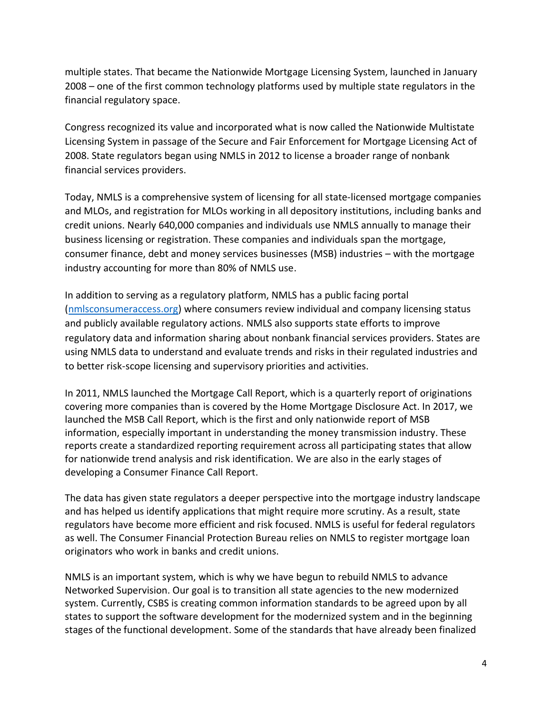multiple states. That became the Nationwide Mortgage Licensing System, launched in January 2008 – one of the first common technology platforms used by multiple state regulators in the financial regulatory space.

Congress recognized its value and incorporated what is now called the Nationwide Multistate Licensing System in passage of the Secure and Fair Enforcement for Mortgage Licensing Act of 2008. State regulators began using NMLS in 2012 to license a broader range of nonbank financial services providers.

Today, NMLS is a comprehensive system of licensing for all state-licensed mortgage companies and MLOs, and registration for MLOs working in all depository institutions, including banks and credit unions. Nearly 640,000 companies and individuals use NMLS annually to manage their business licensing or registration. These companies and individuals span the mortgage, consumer finance, debt and money services businesses (MSB) industries – with the mortgage industry accounting for more than 80% of NMLS use.

In addition to serving as a regulatory platform, NMLS has a public facing portal [\(nmlsconsumeraccess.org\)](https://nationwidelicensingsystem.org/about/Pages/NMLSConsumerAccess.aspx) where consumers review individual and company licensing status and publicly available regulatory actions. NMLS also supports state efforts to improve regulatory data and information sharing about nonbank financial services providers. States are using NMLS data to understand and evaluate trends and risks in their regulated industries and to better risk-scope licensing and supervisory priorities and activities.

In 2011, NMLS launched the Mortgage Call Report, which is a quarterly report of originations covering more companies than is covered by the Home Mortgage Disclosure Act. In 2017, we launched the MSB Call Report, which is the first and only nationwide report of MSB information, especially important in understanding the money transmission industry. These reports create a standardized reporting requirement across all participating states that allow for nationwide trend analysis and risk identification. We are also in the early stages of developing a Consumer Finance Call Report.

The data has given state regulators a deeper perspective into the mortgage industry landscape and has helped us identify applications that might require more scrutiny. As a result, state regulators have become more efficient and risk focused. NMLS is useful for federal regulators as well. The Consumer Financial Protection Bureau relies on NMLS to register mortgage loan originators who work in banks and credit unions.

NMLS is an important system, which is why we have begun to rebuild NMLS to advance Networked Supervision. Our goal is to transition all state agencies to the new modernized system. Currently, CSBS is creating common information standards to be agreed upon by all states to support the software development for the modernized system and in the beginning stages of the functional development. Some of the standards that have already been finalized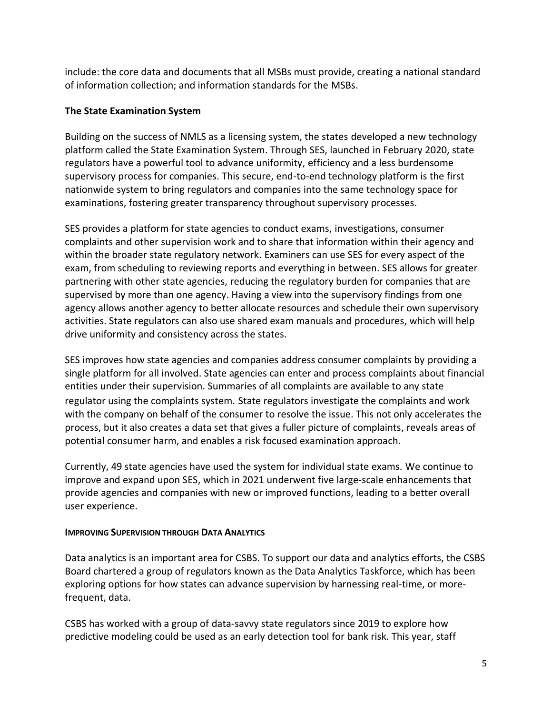include: the core data and documents that all MSBs must provide, creating a national standard of information collection; and information standards for the MSBs.

### **The State Examination System**

Building on the success of NMLS as a licensing system, the states developed a new technology platform called the State Examination System. Through SES, launched in February 2020, state regulators have a powerful tool to advance uniformity, efficiency and a less burdensome supervisory process for companies. This secure, end-to-end technology platform is the first nationwide system to bring regulators and companies into the same technology space for examinations, fostering greater transparency throughout supervisory processes.

SES provides a platform for state agencies to conduct exams, investigations, consumer complaints and other supervision work and to share that information within their agency and within the broader state regulatory network. Examiners can use SES for every aspect of the exam, from scheduling to reviewing reports and everything in between. SES allows for greater partnering with other state agencies, reducing the regulatory burden for companies that are supervised by more than one agency. Having a view into the supervisory findings from one agency allows another agency to better allocate resources and schedule their own supervisory activities. State regulators can also use shared exam manuals and procedures, which will help drive uniformity and consistency across the states.

SES improves how state agencies and companies address consumer complaints by providing a single platform for all involved. State agencies can enter and process complaints about financial entities under their supervision. Summaries of all complaints are available to any state regulator using the complaints system. State regulators investigate the complaints and work with the company on behalf of the consumer to resolve the issue. This not only accelerates the process, but it also creates a data set that gives a fuller picture of complaints, reveals areas of potential consumer harm, and enables a risk focused examination approach.

Currently, 49 state agencies have used the system for individual state exams. We continue to improve and expand upon SES, which in 2021 underwent five large-scale enhancements that provide agencies and companies with new or improved functions, leading to a better overall user experience.

#### **IMPROVING SUPERVISION THROUGH DATA ANALYTICS**

Data analytics is an important area for CSBS. To support our data and analytics efforts, the CSBS Board chartered a group of regulators known as the Data Analytics Taskforce, which has been exploring options for how states can advance supervision by harnessing real-time, or morefrequent, data.

CSBS has worked with a group of data-savvy state regulators since 2019 to explore how predictive modeling could be used as an early detection tool for bank risk. This year, staff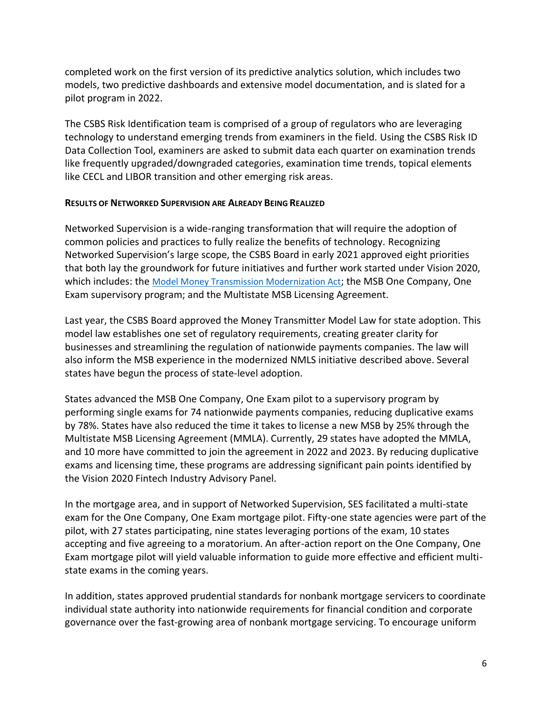completed work on the first version of its predictive analytics solution, which includes two models, two predictive dashboards and extensive model documentation, and is slated for a pilot program in 2022.

The CSBS Risk Identification team is comprised of a group of regulators who are leveraging technology to understand emerging trends from examiners in the field. Using the CSBS Risk ID Data Collection Tool, examiners are asked to submit data each quarter on examination trends like frequently upgraded/downgraded categories, examination time trends, topical elements like CECL and LIBOR transition and other emerging risk areas.

#### **RESULTS OF NETWORKED SUPERVISION ARE ALREADY BEING REALIZED**

Networked Supervision is a wide-ranging transformation that will require the adoption of common policies and practices to fully realize the benefits of technology. Recognizing Networked Supervision's large scope, the CSBS Board in early 2021 approved eight priorities that both lay the groundwork for future initiatives and further work started under Vision 2020, which includes: the [Model Money Transmission Modernization Act](https://www.csbs.org/policy/statements-comments/csbs-model-money-transmission-modernization-act); the MSB One Company, One Exam supervisory program; and the Multistate MSB Licensing Agreement.

Last year, the CSBS Board approved the Money Transmitter Model Law for state adoption. This model law establishes one set of regulatory requirements, creating greater clarity for businesses and streamlining the regulation of nationwide payments companies. The law will also inform the MSB experience in the modernized NMLS initiative described above. Several states have begun the process of state-level adoption.

States advanced the MSB One Company, One Exam pilot to a supervisory program by performing single exams for 74 nationwide payments companies, reducing duplicative exams by 78%. States have also reduced the time it takes to license a new MSB by 25% through the Multistate MSB Licensing Agreement (MMLA). Currently, 29 states have adopted the MMLA, and 10 more have committed to join the agreement in 2022 and 2023. By reducing duplicative exams and licensing time, these programs are addressing significant pain points identified by the Vision 2020 Fintech Industry Advisory Panel.

In the mortgage area, and in support of Networked Supervision, SES facilitated a multi-state exam for the One Company, One Exam mortgage pilot. Fifty-one state agencies were part of the pilot, with 27 states participating, nine states leveraging portions of the exam, 10 states accepting and five agreeing to a moratorium. An after-action report on the One Company, One Exam mortgage pilot will yield valuable information to guide more effective and efficient multistate exams in the coming years.

In addition, states approved prudential standards for nonbank mortgage servicers to coordinate individual state authority into nationwide requirements for financial condition and corporate governance over the fast-growing area of nonbank mortgage servicing. To encourage uniform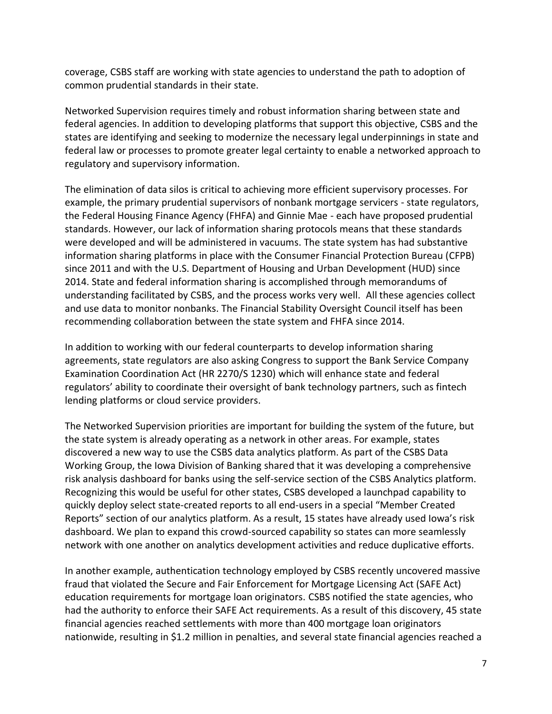coverage, CSBS staff are working with state agencies to understand the path to adoption of common prudential standards in their state.

Networked Supervision requires timely and robust information sharing between state and federal agencies. In addition to developing platforms that support this objective, CSBS and the states are identifying and seeking to modernize the necessary legal underpinnings in state and federal law or processes to promote greater legal certainty to enable a networked approach to regulatory and supervisory information.

The elimination of data silos is critical to achieving more efficient supervisory processes. For example, the primary prudential supervisors of nonbank mortgage servicers - state regulators, the Federal Housing Finance Agency (FHFA) and Ginnie Mae - each have proposed prudential standards. However, our lack of information sharing protocols means that these standards were developed and will be administered in vacuums. The state system has had substantive information sharing platforms in place with the Consumer Financial Protection Bureau (CFPB) since 2011 and with the U.S. Department of Housing and Urban Development (HUD) since 2014. State and federal information sharing is accomplished through memorandums of understanding facilitated by CSBS, and the process works very well. All these agencies collect and use data to monitor nonbanks. The Financial Stability Oversight Council itself has been recommending collaboration between the state system and FHFA since 2014.

In addition to working with our federal counterparts to develop information sharing agreements, state regulators are also asking Congress to support the Bank Service Company Examination Coordination Act (HR 2270/S 1230) which will enhance state and federal regulators' ability to coordinate their oversight of bank technology partners, such as fintech lending platforms or cloud service providers.

The Networked Supervision priorities are important for building the system of the future, but the state system is already operating as a network in other areas. For example, states discovered a new way to use the CSBS data analytics platform. As part of the CSBS Data Working Group, the Iowa Division of Banking shared that it was developing a comprehensive risk analysis dashboard for banks using the self-service section of the CSBS Analytics platform. Recognizing this would be useful for other states, CSBS developed a launchpad capability to quickly deploy select state-created reports to all end-users in a special "Member Created Reports" section of our analytics platform. As a result, 15 states have already used Iowa's risk dashboard. We plan to expand this crowd-sourced capability so states can more seamlessly network with one another on analytics development activities and reduce duplicative efforts.

In another example, authentication technology employed by CSBS recently uncovered massive fraud that violated the Secure and Fair Enforcement for Mortgage Licensing Act (SAFE Act) education requirements for mortgage loan originators. CSBS notified the state agencies, who had the authority to enforce their SAFE Act requirements. As a result of this discovery, 45 state financial agencies reached settlements with more than 400 mortgage loan originators nationwide, resulting in \$1.2 million in penalties, and several state financial agencies reached a